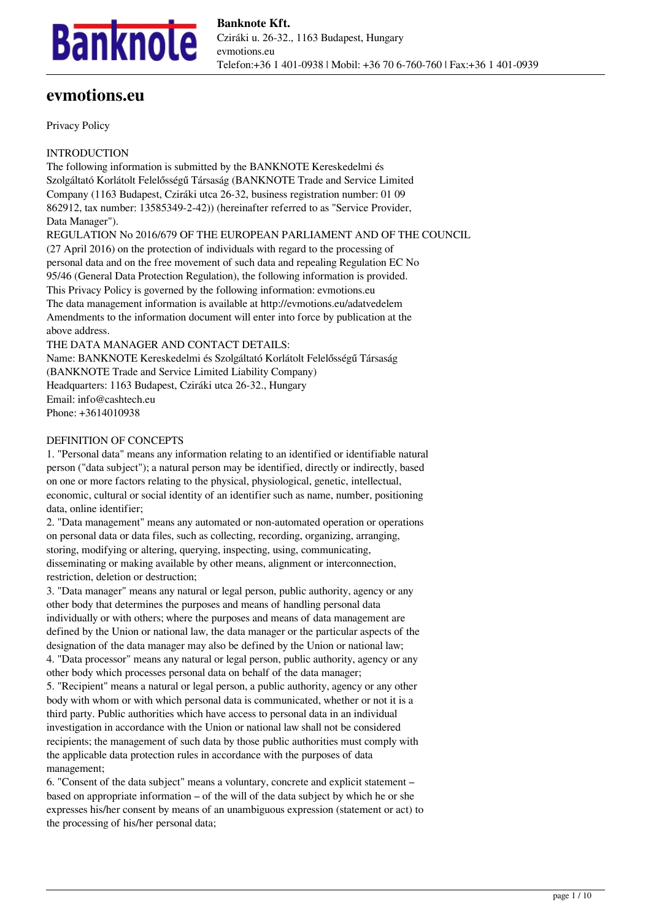

# **evmotions.eu**

Privacy Policy

INTRODUCTION

The following information is submitted by the BANKNOTE Kereskedelmi és Szolgáltató Korlátolt Felelősségű Társaság (BANKNOTE Trade and Service Limited Company (1163 Budapest, Cziráki utca 26-32, business registration number: 01 09 862912, tax number: 13585349-2-42)) (hereinafter referred to as "Service Provider, Data Manager").

REGULATION No 2016/679 OF THE EUROPEAN PARLIAMENT AND OF THE COUNCIL (27 April 2016) on the protection of individuals with regard to the processing of personal data and on the free movement of such data and repealing Regulation EC No 95/46 (General Data Protection Regulation), the following information is provided. This Privacy Policy is governed by the following information: evmotions.eu The data management information is available at http://evmotions.eu/adatvedelem Amendments to the information document will enter into force by publication at the above address.

THE DATA MANAGER AND CONTACT DETAILS: Name: BANKNOTE Kereskedelmi és Szolgáltató Korlátolt Felelősségű Társaság (BANKNOTE Trade and Service Limited Liability Company) Headquarters: 1163 Budapest, Cziráki utca 26-32., Hungary Email: info@cashtech.eu Phone: +3614010938

#### DEFINITION OF CONCEPTS

1. "Personal data" means any information relating to an identified or identifiable natural person ("data subject"); a natural person may be identified, directly or indirectly, based on one or more factors relating to the physical, physiological, genetic, intellectual, economic, cultural or social identity of an identifier such as name, number, positioning data, online identifier;

2. "Data management" means any automated or non-automated operation or operations on personal data or data files, such as collecting, recording, organizing, arranging, storing, modifying or altering, querying, inspecting, using, communicating, disseminating or making available by other means, alignment or interconnection, restriction, deletion or destruction;

3. "Data manager" means any natural or legal person, public authority, agency or any other body that determines the purposes and means of handling personal data individually or with others; where the purposes and means of data management are defined by the Union or national law, the data manager or the particular aspects of the designation of the data manager may also be defined by the Union or national law; 4. "Data processor" means any natural or legal person, public authority, agency or any other body which processes personal data on behalf of the data manager; 5. "Recipient" means a natural or legal person, a public authority, agency or any other body with whom or with which personal data is communicated, whether or not it is a

third party. Public authorities which have access to personal data in an individual investigation in accordance with the Union or national law shall not be considered recipients; the management of such data by those public authorities must comply with the applicable data protection rules in accordance with the purposes of data management;

6. "Consent of the data subject" means a voluntary, concrete and explicit statement – based on appropriate information – of the will of the data subject by which he or she expresses his/her consent by means of an unambiguous expression (statement or act) to the processing of his/her personal data;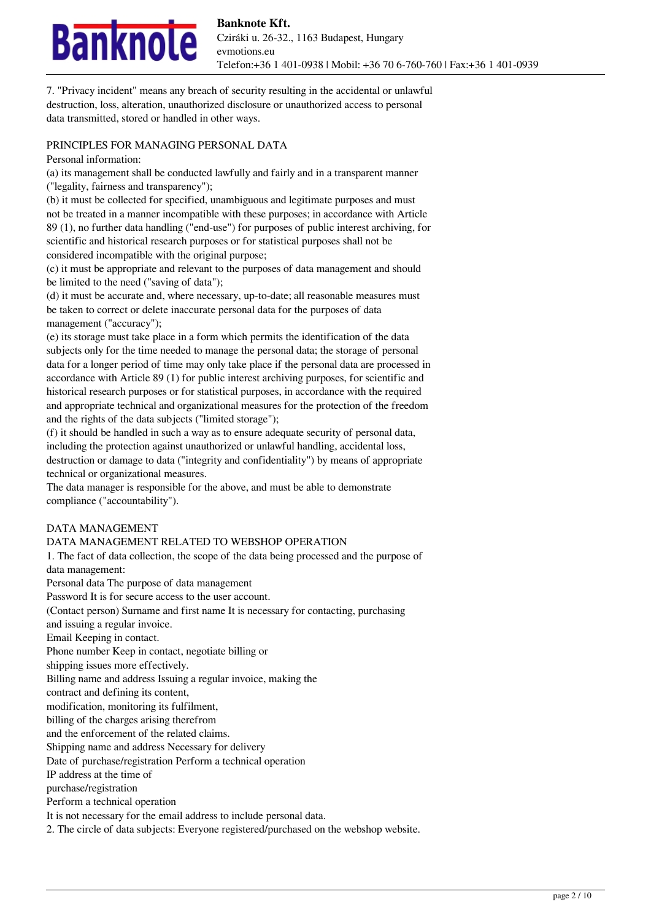

7. "Privacy incident" means any breach of security resulting in the accidental or unlawful destruction, loss, alteration, unauthorized disclosure or unauthorized access to personal data transmitted, stored or handled in other ways.

#### PRINCIPLES FOR MANAGING PERSONAL DATA

Personal information:

(a) its management shall be conducted lawfully and fairly and in a transparent manner ("legality, fairness and transparency");

(b) it must be collected for specified, unambiguous and legitimate purposes and must not be treated in a manner incompatible with these purposes; in accordance with Article 89 (1), no further data handling ("end-use") for purposes of public interest archiving, for scientific and historical research purposes or for statistical purposes shall not be considered incompatible with the original purpose;

(c) it must be appropriate and relevant to the purposes of data management and should be limited to the need ("saving of data");

(d) it must be accurate and, where necessary, up-to-date; all reasonable measures must be taken to correct or delete inaccurate personal data for the purposes of data management ("accuracy");

(e) its storage must take place in a form which permits the identification of the data subjects only for the time needed to manage the personal data; the storage of personal data for a longer period of time may only take place if the personal data are processed in accordance with Article 89 (1) for public interest archiving purposes, for scientific and historical research purposes or for statistical purposes, in accordance with the required and appropriate technical and organizational measures for the protection of the freedom and the rights of the data subjects ("limited storage");

(f) it should be handled in such a way as to ensure adequate security of personal data, including the protection against unauthorized or unlawful handling, accidental loss, destruction or damage to data ("integrity and confidentiality") by means of appropriate technical or organizational measures.

The data manager is responsible for the above, and must be able to demonstrate compliance ("accountability").

#### DATA MANAGEMENT

# DATA MANAGEMENT RELATED TO WEBSHOP OPERATION

1. The fact of data collection, the scope of the data being processed and the purpose of data management:

Personal data The purpose of data management Password It is for secure access to the user account.

(Contact person) Surname and first name It is necessary for contacting, purchasing

and issuing a regular invoice.

Email Keeping in contact.

Phone number Keep in contact, negotiate billing or

shipping issues more effectively.

Billing name and address Issuing a regular invoice, making the

contract and defining its content,

modification, monitoring its fulfilment,

billing of the charges arising therefrom

and the enforcement of the related claims.

Shipping name and address Necessary for delivery

Date of purchase/registration Perform a technical operation

IP address at the time of

purchase/registration

Perform a technical operation

It is not necessary for the email address to include personal data.

2. The circle of data subjects: Everyone registered/purchased on the webshop website.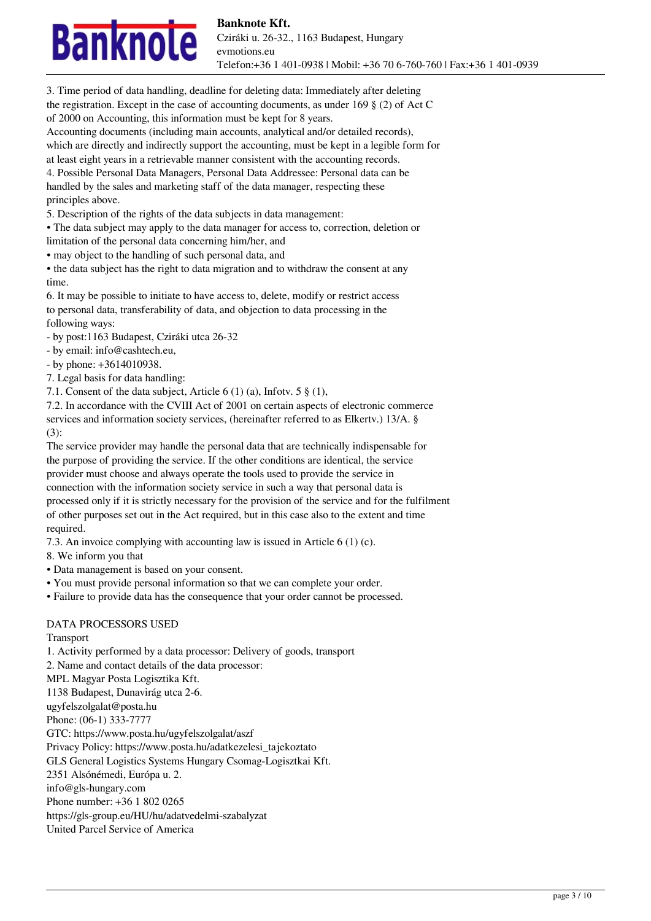

3. Time period of data handling, deadline for deleting data: Immediately after deleting the registration. Except in the case of accounting documents, as under 169  $\S$  (2) of Act C of 2000 on Accounting, this information must be kept for 8 years.

Accounting documents (including main accounts, analytical and/or detailed records), which are directly and indirectly support the accounting, must be kept in a legible form for at least eight years in a retrievable manner consistent with the accounting records.

4. Possible Personal Data Managers, Personal Data Addressee: Personal data can be handled by the sales and marketing staff of the data manager, respecting these principles above.

5. Description of the rights of the data subjects in data management:

• The data subject may apply to the data manager for access to, correction, deletion or

limitation of the personal data concerning him/her, and

• may object to the handling of such personal data, and

• the data subject has the right to data migration and to withdraw the consent at any time.

6. It may be possible to initiate to have access to, delete, modify or restrict access to personal data, transferability of data, and objection to data processing in the following ways:

- by post:1163 Budapest, Cziráki utca 26-32

- by email: info@cashtech.eu,

- by phone: +3614010938.

7. Legal basis for data handling:

7.1. Consent of the data subject, Article 6 (1) (a), Infotv. 5 § (1),

7.2. In accordance with the CVIII Act of 2001 on certain aspects of electronic commerce services and information society services, (hereinafter referred to as Elkertv.) 13/A. §

(3):

The service provider may handle the personal data that are technically indispensable for the purpose of providing the service. If the other conditions are identical, the service provider must choose and always operate the tools used to provide the service in connection with the information society service in such a way that personal data is processed only if it is strictly necessary for the provision of the service and for the fulfilment of other purposes set out in the Act required, but in this case also to the extent and time required.

7.3. An invoice complying with accounting law is issued in Article 6 (1) (c).

8. We inform you that

• Data management is based on your consent.

• You must provide personal information so that we can complete your order.

• Failure to provide data has the consequence that your order cannot be processed.

# DATA PROCESSORS USED

Transport

1. Activity performed by a data processor: Delivery of goods, transport 2. Name and contact details of the data processor: MPL Magyar Posta Logisztika Kft. 1138 Budapest, Dunavirág utca 2-6. ugyfelszolgalat@posta.hu Phone: (06-1) 333-7777 GTC: https://www.posta.hu/ugyfelszolgalat/aszf Privacy Policy: https://www.posta.hu/adatkezelesi\_tajekoztato GLS General Logistics Systems Hungary Csomag-Logisztkai Kft. 2351 Alsónémedi, Európa u. 2. info@gls-hungary.com Phone number: +36 1 802 0265 https://gls-group.eu/HU/hu/adatvedelmi-szabalyzat United Parcel Service of America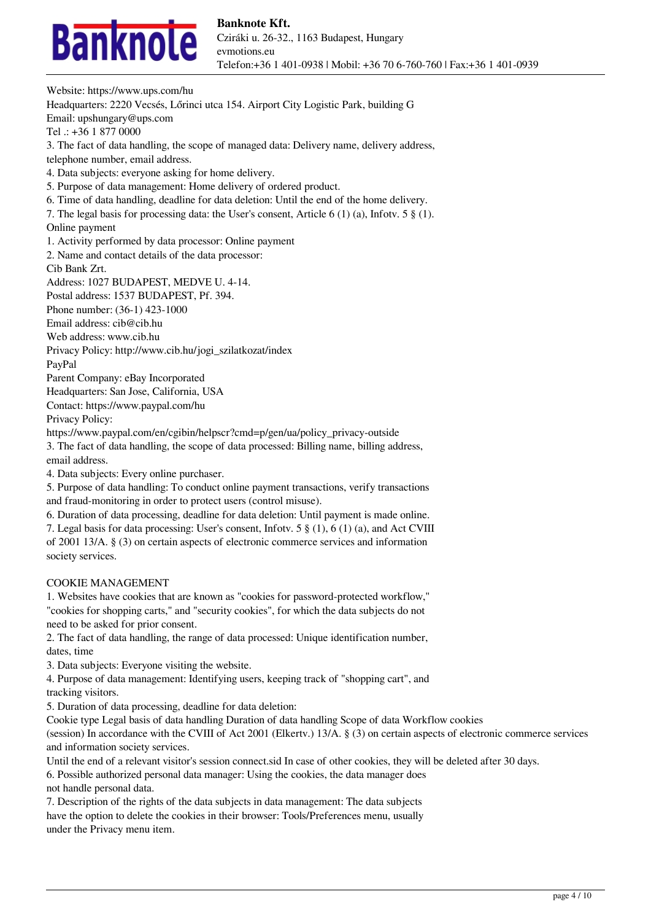

Website: https://www.ups.com/hu Headquarters: 2220 Vecsés, Lőrinci utca 154. Airport City Logistic Park, building G Email: upshungary@ups.com Tel .: +36 1 877 0000 3. The fact of data handling, the scope of managed data: Delivery name, delivery address, telephone number, email address. 4. Data subjects: everyone asking for home delivery. 5. Purpose of data management: Home delivery of ordered product. 6. Time of data handling, deadline for data deletion: Until the end of the home delivery. 7. The legal basis for processing data: the User's consent, Article 6 (1) (a), Infotv. 5 § (1). Online payment 1. Activity performed by data processor: Online payment 2. Name and contact details of the data processor: Cib Bank Zrt. Address: 1027 BUDAPEST, MEDVE U. 4-14. Postal address: 1537 BUDAPEST, Pf. 394. Phone number: (36-1) 423-1000 Email address: cib@cib.hu Web address: www.cib.hu Privacy Policy: http://www.cib.hu/jogi\_szilatkozat/index PayPal Parent Company: eBay Incorporated Headquarters: San Jose, California, USA Contact: https://www.paypal.com/hu Privacy Policy: https://www.paypal.com/en/cgibin/helpscr?cmd=p/gen/ua/policy\_privacy-outside 3. The fact of data handling, the scope of data processed: Billing name, billing address, email address. 4. Data subjects: Every online purchaser. 5. Purpose of data handling: To conduct online payment transactions, verify transactions and fraud-monitoring in order to protect users (control misuse). 6. Duration of data processing, deadline for data deletion: Until payment is made online. 7. Legal basis for data processing: User's consent, Infotv. 5 § (1), 6 (1) (a), and Act CVIII of 2001 13/A. § (3) on certain aspects of electronic commerce services and information society services.

#### COOKIE MANAGEMENT

1. Websites have cookies that are known as "cookies for password-protected workflow," "cookies for shopping carts," and "security cookies", for which the data subjects do not need to be asked for prior consent.

2. The fact of data handling, the range of data processed: Unique identification number, dates, time

3. Data subjects: Everyone visiting the website.

4. Purpose of data management: Identifying users, keeping track of "shopping cart", and tracking visitors.

5. Duration of data processing, deadline for data deletion:

Cookie type Legal basis of data handling Duration of data handling Scope of data Workflow cookies

(session) In accordance with the CVIII of Act 2001 (Elkertv.) 13/A. § (3) on certain aspects of electronic commerce services and information society services.

Until the end of a relevant visitor's session connect.sid In case of other cookies, they will be deleted after 30 days.

6. Possible authorized personal data manager: Using the cookies, the data manager does not handle personal data.

7. Description of the rights of the data subjects in data management: The data subjects have the option to delete the cookies in their browser: Tools/Preferences menu, usually under the Privacy menu item.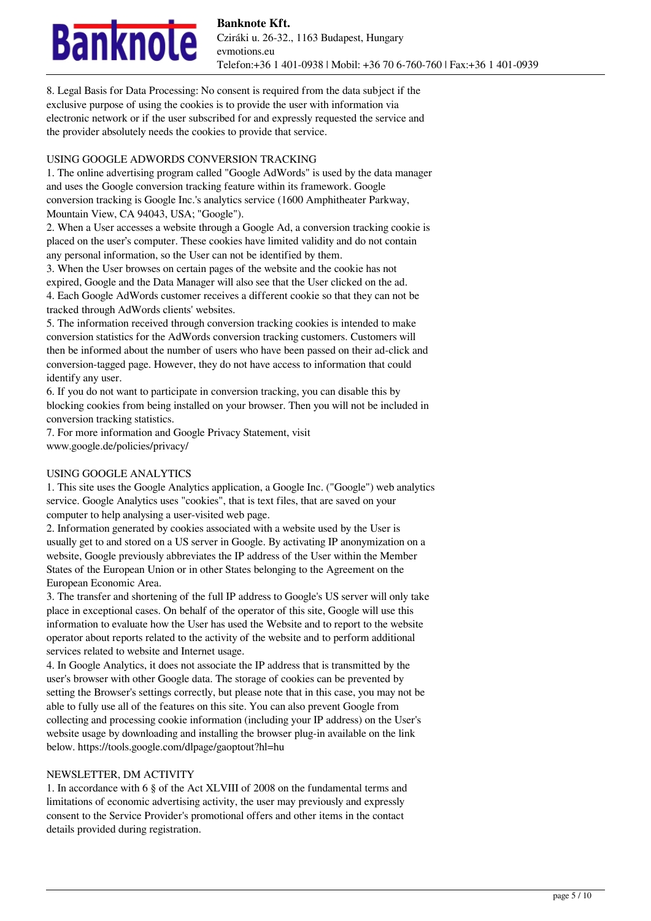# nknole

8. Legal Basis for Data Processing: No consent is required from the data subject if the exclusive purpose of using the cookies is to provide the user with information via electronic network or if the user subscribed for and expressly requested the service and the provider absolutely needs the cookies to provide that service.

### USING GOOGLE ADWORDS CONVERSION TRACKING

1. The online advertising program called "Google AdWords" is used by the data manager and uses the Google conversion tracking feature within its framework. Google conversion tracking is Google Inc.'s analytics service (1600 Amphitheater Parkway, Mountain View, CA 94043, USA; "Google").

2. When a User accesses a website through a Google Ad, a conversion tracking cookie is placed on the user's computer. These cookies have limited validity and do not contain any personal information, so the User can not be identified by them.

3. When the User browses on certain pages of the website and the cookie has not expired, Google and the Data Manager will also see that the User clicked on the ad. 4. Each Google AdWords customer receives a different cookie so that they can not be tracked through AdWords clients' websites.

5. The information received through conversion tracking cookies is intended to make conversion statistics for the AdWords conversion tracking customers. Customers will then be informed about the number of users who have been passed on their ad-click and conversion-tagged page. However, they do not have access to information that could identify any user.

6. If you do not want to participate in conversion tracking, you can disable this by blocking cookies from being installed on your browser. Then you will not be included in conversion tracking statistics.

7. For more information and Google Privacy Statement, visit www.google.de/policies/privacy/

# USING GOOGLE ANALYTICS

1. This site uses the Google Analytics application, a Google Inc. ("Google") web analytics service. Google Analytics uses "cookies", that is text files, that are saved on your computer to help analysing a user-visited web page.

2. Information generated by cookies associated with a website used by the User is usually get to and stored on a US server in Google. By activating IP anonymization on a website, Google previously abbreviates the IP address of the User within the Member States of the European Union or in other States belonging to the Agreement on the European Economic Area.

3. The transfer and shortening of the full IP address to Google's US server will only take place in exceptional cases. On behalf of the operator of this site, Google will use this information to evaluate how the User has used the Website and to report to the website operator about reports related to the activity of the website and to perform additional services related to website and Internet usage.

4. In Google Analytics, it does not associate the IP address that is transmitted by the user's browser with other Google data. The storage of cookies can be prevented by setting the Browser's settings correctly, but please note that in this case, you may not be able to fully use all of the features on this site. You can also prevent Google from collecting and processing cookie information (including your IP address) on the User's website usage by downloading and installing the browser plug-in available on the link below. https://tools.google.com/dlpage/gaoptout?hl=hu

#### NEWSLETTER, DM ACTIVITY

1. In accordance with 6 § of the Act XLVIII of 2008 on the fundamental terms and limitations of economic advertising activity, the user may previously and expressly consent to the Service Provider's promotional offers and other items in the contact details provided during registration.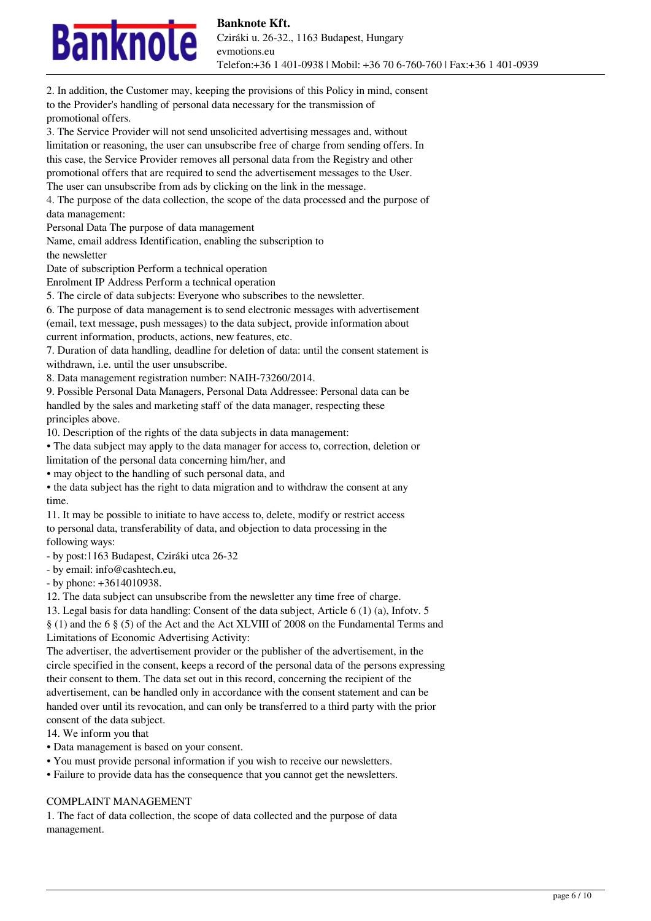# nknole

to the Provider's handling of personal data necessary for the transmission of promotional offers. 3. The Service Provider will not send unsolicited advertising messages and, without limitation or reasoning, the user can unsubscribe free of charge from sending offers. In this case, the Service Provider removes all personal data from the Registry and other promotional offers that are required to send the advertisement messages to the User. The user can unsubscribe from ads by clicking on the link in the message. 4. The purpose of the data collection, the scope of the data processed and the purpose of data management: Personal Data The purpose of data management Name, email address Identification, enabling the subscription to the newsletter Date of subscription Perform a technical operation Enrolment IP Address Perform a technical operation 5. The circle of data subjects: Everyone who subscribes to the newsletter. 6. The purpose of data management is to send electronic messages with advertisement (email, text message, push messages) to the data subject, provide information about current information, products, actions, new features, etc. 7. Duration of data handling, deadline for deletion of data: until the consent statement is withdrawn, i.e. until the user unsubscribe. 8. Data management registration number: NAIH-73260/2014. 9. Possible Personal Data Managers, Personal Data Addressee: Personal data can be handled by the sales and marketing staff of the data manager, respecting these principles above. 10. Description of the rights of the data subjects in data management: • The data subject may apply to the data manager for access to, correction, deletion or limitation of the personal data concerning him/her, and • may object to the handling of such personal data, and • the data subject has the right to data migration and to withdraw the consent at any time. 11. It may be possible to initiate to have access to, delete, modify or restrict access to personal data, transferability of data, and objection to data processing in the following ways: - by post:1163 Budapest, Cziráki utca 26-32 - by email: info@cashtech.eu, - by phone: +3614010938. 12. The data subject can unsubscribe from the newsletter any time free of charge. 13. Legal basis for data handling: Consent of the data subject, Article 6 (1) (a), Infotv. 5 § (1) and the 6 § (5) of the Act and the Act XLVIII of 2008 on the Fundamental Terms and Limitations of Economic Advertising Activity: The advertiser, the advertisement provider or the publisher of the advertisement, in the circle specified in the consent, keeps a record of the personal data of the persons expressing their consent to them. The data set out in this record, concerning the recipient of the advertisement, can be handled only in accordance with the consent statement and can be handed over until its revocation, and can only be transferred to a third party with the prior consent of the data subject.

2. In addition, the Customer may, keeping the provisions of this Policy in mind, consent

14. We inform you that

- Data management is based on your consent.
- You must provide personal information if you wish to receive our newsletters.
- Failure to provide data has the consequence that you cannot get the newsletters.

#### COMPLAINT MANAGEMENT

1. The fact of data collection, the scope of data collected and the purpose of data management.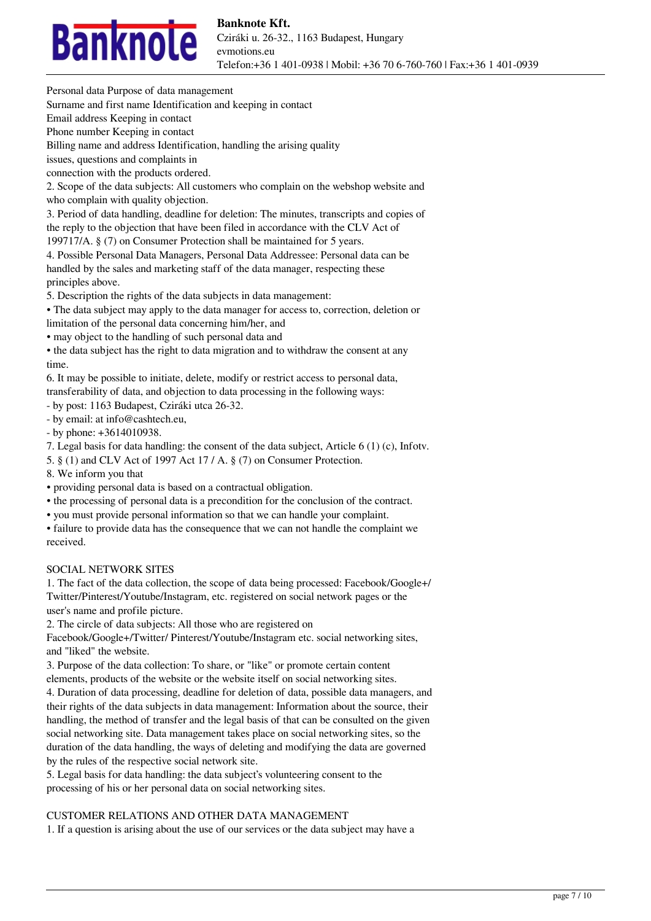

Personal data Purpose of data management

Surname and first name Identification and keeping in contact

Email address Keeping in contact

Phone number Keeping in contact

Billing name and address Identification, handling the arising quality

issues, questions and complaints in

connection with the products ordered.

2. Scope of the data subjects: All customers who complain on the webshop website and who complain with quality objection.

3. Period of data handling, deadline for deletion: The minutes, transcripts and copies of the reply to the objection that have been filed in accordance with the CLV Act of

199717/A. § (7) on Consumer Protection shall be maintained for 5 years.

4. Possible Personal Data Managers, Personal Data Addressee: Personal data can be handled by the sales and marketing staff of the data manager, respecting these principles above.

5. Description the rights of the data subjects in data management:

• The data subject may apply to the data manager for access to, correction, deletion or

limitation of the personal data concerning him/her, and

• may object to the handling of such personal data and

• the data subject has the right to data migration and to withdraw the consent at any time.

6. It may be possible to initiate, delete, modify or restrict access to personal data, transferability of data, and objection to data processing in the following ways:

- by post: 1163 Budapest, Cziráki utca 26-32.

- by email: at info@cashtech.eu,

- by phone: +3614010938.

7. Legal basis for data handling: the consent of the data subject, Article 6 (1) (c), Infotv.

5. § (1) and CLV Act of 1997 Act 17 / A. § (7) on Consumer Protection.

8. We inform you that

• providing personal data is based on a contractual obligation.

• the processing of personal data is a precondition for the conclusion of the contract.

• you must provide personal information so that we can handle your complaint.

• failure to provide data has the consequence that we can not handle the complaint we received.

# SOCIAL NETWORK SITES

1. The fact of the data collection, the scope of data being processed: Facebook/Google+/ Twitter/Pinterest/Youtube/Instagram, etc. registered on social network pages or the user's name and profile picture.

2. The circle of data subjects: All those who are registered on

Facebook/Google+/Twitter/ Pinterest/Youtube/Instagram etc. social networking sites, and "liked" the website.

3. Purpose of the data collection: To share, or "like" or promote certain content elements, products of the website or the website itself on social networking sites.

4. Duration of data processing, deadline for deletion of data, possible data managers, and their rights of the data subjects in data management: Information about the source, their handling, the method of transfer and the legal basis of that can be consulted on the given social networking site. Data management takes place on social networking sites, so the duration of the data handling, the ways of deleting and modifying the data are governed by the rules of the respective social network site.

5. Legal basis for data handling: the data subject's volunteering consent to the processing of his or her personal data on social networking sites.

# CUSTOMER RELATIONS AND OTHER DATA MANAGEMENT

1. If a question is arising about the use of our services or the data subject may have a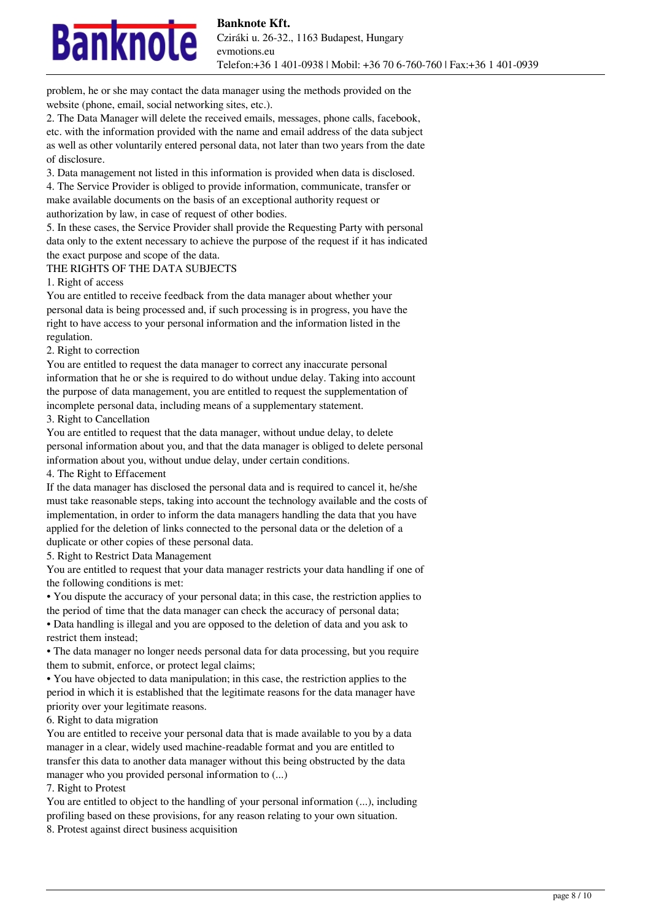

problem, he or she may contact the data manager using the methods provided on the website (phone, email, social networking sites, etc.).

2. The Data Manager will delete the received emails, messages, phone calls, facebook, etc. with the information provided with the name and email address of the data subject as well as other voluntarily entered personal data, not later than two years from the date of disclosure.

3. Data management not listed in this information is provided when data is disclosed. 4. The Service Provider is obliged to provide information, communicate, transfer or make available documents on the basis of an exceptional authority request or authorization by law, in case of request of other bodies.

5. In these cases, the Service Provider shall provide the Requesting Party with personal data only to the extent necessary to achieve the purpose of the request if it has indicated the exact purpose and scope of the data.

#### THE RIGHTS OF THE DATA SUBJECTS

1. Right of access

You are entitled to receive feedback from the data manager about whether your personal data is being processed and, if such processing is in progress, you have the right to have access to your personal information and the information listed in the regulation.

#### 2. Right to correction

You are entitled to request the data manager to correct any inaccurate personal information that he or she is required to do without undue delay. Taking into account the purpose of data management, you are entitled to request the supplementation of incomplete personal data, including means of a supplementary statement.

3. Right to Cancellation

You are entitled to request that the data manager, without undue delay, to delete personal information about you, and that the data manager is obliged to delete personal information about you, without undue delay, under certain conditions.

4. The Right to Effacement

If the data manager has disclosed the personal data and is required to cancel it, he/she must take reasonable steps, taking into account the technology available and the costs of implementation, in order to inform the data managers handling the data that you have applied for the deletion of links connected to the personal data or the deletion of a duplicate or other copies of these personal data.

5. Right to Restrict Data Management

You are entitled to request that your data manager restricts your data handling if one of the following conditions is met:

• You dispute the accuracy of your personal data; in this case, the restriction applies to the period of time that the data manager can check the accuracy of personal data;

• Data handling is illegal and you are opposed to the deletion of data and you ask to restrict them instead;

• The data manager no longer needs personal data for data processing, but you require them to submit, enforce, or protect legal claims;

• You have objected to data manipulation; in this case, the restriction applies to the period in which it is established that the legitimate reasons for the data manager have priority over your legitimate reasons.

6. Right to data migration

You are entitled to receive your personal data that is made available to you by a data manager in a clear, widely used machine-readable format and you are entitled to transfer this data to another data manager without this being obstructed by the data manager who you provided personal information to (...)

7. Right to Protest

You are entitled to object to the handling of your personal information  $(...)$ , including profiling based on these provisions, for any reason relating to your own situation.

8. Protest against direct business acquisition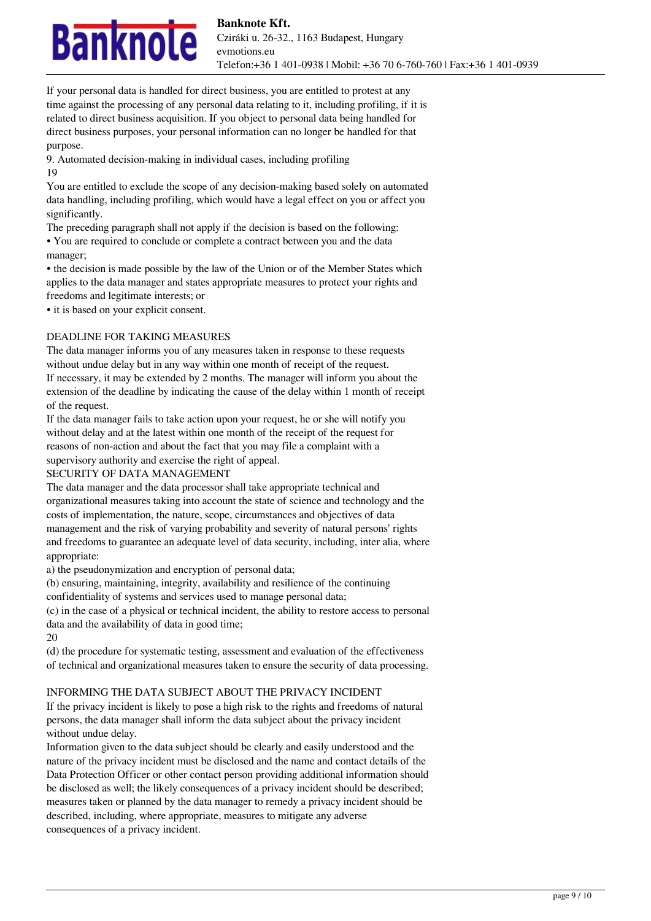

If your personal data is handled for direct business, you are entitled to protest at any time against the processing of any personal data relating to it, including profiling, if it is related to direct business acquisition. If you object to personal data being handled for direct business purposes, your personal information can no longer be handled for that purpose.

9. Automated decision-making in individual cases, including profiling 19

You are entitled to exclude the scope of any decision-making based solely on automated data handling, including profiling, which would have a legal effect on you or affect you significantly.

The preceding paragraph shall not apply if the decision is based on the following: • You are required to conclude or complete a contract between you and the data manager;

• the decision is made possible by the law of the Union or of the Member States which applies to the data manager and states appropriate measures to protect your rights and freedoms and legitimate interests; or

• it is based on your explicit consent.

# DEADLINE FOR TAKING MEASURES

The data manager informs you of any measures taken in response to these requests without undue delay but in any way within one month of receipt of the request. If necessary, it may be extended by 2 months. The manager will inform you about the extension of the deadline by indicating the cause of the delay within 1 month of receipt of the request.

If the data manager fails to take action upon your request, he or she will notify you without delay and at the latest within one month of the receipt of the request for reasons of non-action and about the fact that you may file a complaint with a supervisory authority and exercise the right of appeal.

# SECURITY OF DATA MANAGEMENT

The data manager and the data processor shall take appropriate technical and organizational measures taking into account the state of science and technology and the costs of implementation, the nature, scope, circumstances and objectives of data management and the risk of varying probability and severity of natural persons' rights and freedoms to guarantee an adequate level of data security, including, inter alia, where appropriate:

a) the pseudonymization and encryption of personal data;

(b) ensuring, maintaining, integrity, availability and resilience of the continuing

confidentiality of systems and services used to manage personal data;

(c) in the case of a physical or technical incident, the ability to restore access to personal data and the availability of data in good time;

20

(d) the procedure for systematic testing, assessment and evaluation of the effectiveness of technical and organizational measures taken to ensure the security of data processing.

# INFORMING THE DATA SUBJECT ABOUT THE PRIVACY INCIDENT

If the privacy incident is likely to pose a high risk to the rights and freedoms of natural persons, the data manager shall inform the data subject about the privacy incident without undue delay.

Information given to the data subject should be clearly and easily understood and the nature of the privacy incident must be disclosed and the name and contact details of the Data Protection Officer or other contact person providing additional information should be disclosed as well; the likely consequences of a privacy incident should be described; measures taken or planned by the data manager to remedy a privacy incident should be described, including, where appropriate, measures to mitigate any adverse consequences of a privacy incident.